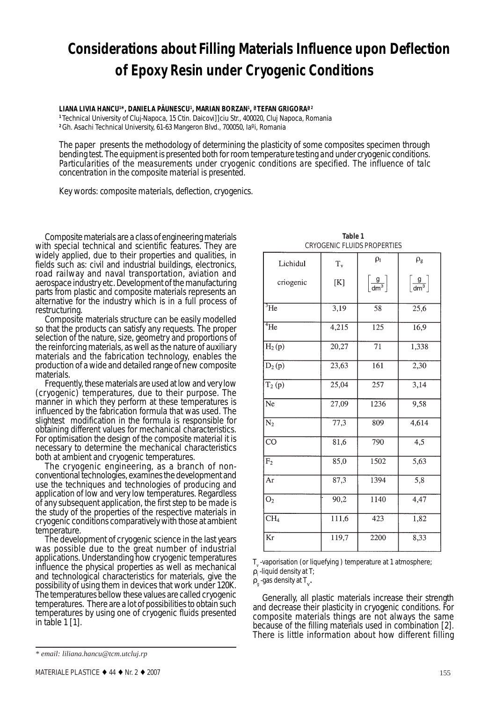# **Considerations about Filling Materials Influence upon Deflection of Epoxy Resin under Cryogenic Conditions**

**LIANA LIVIA HANCU1 \*, DANIELA PÃUNESCU1 , MARIAN BORZAN1 , ªTEFAN GRIGORAª2**

**<sup>1</sup>**Technical University of Cluj-Napoca, 15 Ctin. Daicovi]]ciu Str., 400020, Cluj Napoca, Romania **<sup>2</sup>**Gh. Asachi Technical University, 61-63 Mangeron Blvd., 700050, Iaºi, Romania

*The paper presents the methodology of determining the plasticity of some composites specimen through bending test. The equipment is presented both for room temperature testing and under cryogenic conditions. Particularities of the measurements under cryogenic conditions are specified. The influence of talc concentration in the composite material is presented.*

*Key words: composite materials, deflection, cryogenics.*

Composite materials are a class of engineering materials with special technical and scientific features. They are widely applied, due to their properties and qualities, in fields such as: civil and industrial buildings, electronics, road railway and naval transportation, aviation and aerospace industry etc. Development of the manufacturing parts from plastic and composite materials represents an alternative for the industry which is in a full process of restructuring.

Composite materials structure can be easily modelled so that the products can satisfy any requests. The proper selection of the nature, size, geometry and proportions of the reinforcing materials, as well as the nature of auxiliary materials and the fabrication technology, enables the production of a wide and detailed range of new composite materials.

Frequently, these materials are used at low and very low (cryogenic) temperatures, due to their purpose. The manner in which they perform at these temperatures is influenced by the fabrication formula that was used. The slightest modification in the formula is responsible for obtaining different values for mechanical characteristics. For optimisation the design of the composite material it is necessary to determine the mechanical characteristics both at ambient and cryogenic temperatures.

The cryogenic engineering, as a branch of non- conventional technologies, examines the development and use the techniques and technologies of producing and application of low and very low temperatures. Regardless of any subsequent application, the first step to be made is the study of the properties of the respective materials in cryogenic conditions comparatively with those at ambient temperature.

The development of cryogenic science in the last years was possible due to the great number of industrial applications. Understanding how cryogenic temperatures influence the physical properties as well as mechanical and technological characteristics for materials, give the possibility of using them in devices that work under 120K. The temperatures bellow these values are called cryogenic temperatures. There are a lot of possibilities to obtain such temperatures by using one of cryogenic fluids presented in table 1 [1].

| Lichidul                   | $T_{v}$ | $\rho_1$                      | $\rho_{\rm g}$                |
|----------------------------|---------|-------------------------------|-------------------------------|
| criogenic                  | [K]     | $\left[\frac{g}{dm^3}\right]$ | $\left[\frac{g}{dm^3}\right]$ |
| $\overline{{}^3\text{He}}$ | 3,19    | 58                            | 25,6                          |
| $4\text{He}$               | 4,215   | 125                           | 16,9                          |
| $H_2(p)$                   | 20,27   | 71                            | 1,338                         |
| $D_2(p)$                   | 23,63   | 161                           | 2,30                          |
| $T_2(p)$                   | 25,04   | 257                           | 3,14                          |
| Ne                         | 27,09   | 1236                          | 9,58                          |
| $\overline{N_2}$           | 77,3    | 809                           | 4,614                         |
| $\overline{CO}$            | 81,6    | 790                           | $\overline{4,5}$              |
| F <sub>2</sub>             | 85,0    | 1502                          | $\overline{5,63}$             |
| Ar                         | 87,3    | 1394                          | 5,8                           |
| O <sub>2</sub>             | 90,2    | 1140                          | 4,47                          |
| CH <sub>4</sub>            | 111,6   | 423                           | 1,82                          |
| Kr                         | 119,7   | 2200                          | 8,33                          |

**Table 1** CRYOGENIC FLUIDS PROPERTIES

 ${\tt T}_{\rm v}$  -vaporisation (or liquefying ) temperature at 1 atmosphere;

 $\rho_{_{\rm l}}$  -liquid density at T;

 $\rho_{\rm g}$  -gas density at  $T_{\rm v}$ .

Generally, all plastic materials increase their strength and decrease their plasticity in cryogenic conditions. For composite materials things are not always the same because of the filling materials used in combination [2]. There is little information about how different filling

*<sup>\*</sup> email: liliana.hancu@tcm.utcluj.rp*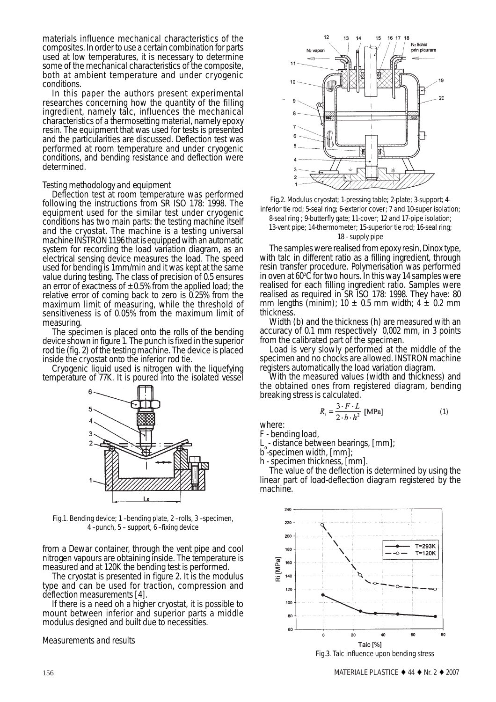materials influence mechanical characteristics of the composites. In order to use a certain combination for parts used at low temperatures, it is necessary to determine some of the mechanical characteristics of the composite, both at ambient temperature and under cryogenic conditions.

In this paper the authors present experimental researches concerning how the quantity of the filling ingredient, namely talc, influences the mechanical characteristics of a thermosetting material, namely epoxy resin. The equipment that was used for tests is presented and the particularities are discussed. Deflection test was performed at room temperature and under cryogenic conditions, and bending resistance and deflection were determined.

## *Testing methodology and equipment*

Deflection test at room temperature was performed following the instructions from SR ISO 178: 1998. The equipment used for the similar test under cryogenic conditions has two main parts: the testing machine itself and the cryostat. The machine is a testing universal machine INSTRON 1196 that is equipped with an automatic system for recording the load variation diagram, as an electrical sensing device measures the load. The speed used for bending is 1mm/min and it was kept at the same value during testing. The class of precision of 0.5 ensures an error of exactness of  $\pm 0.5\%$  from the applied load; the relative error of coming back to zero is 0.25% from the maximum limit of measuring, while the threshold of sensitiveness is of 0.05% from the maximum limit of measuring.

The specimen is placed onto the rolls of the bending device shown in figure 1. The punch is fixed in the superior rod tie (fig. 2) of the testing machine. The device is placed

inside the cryostat onto the inferior rod tie. Cryogenic liquid used is nitrogen with the liquefying temperature of 77K. It is poured into the isolated vessel



Fig.1. Bending device; 1 –bending plate, 2 –rolls, 3 –specimen, 4 –punch, 5 – support, 6 –fixing device

from a Dewar container, through the vent pipe and cool nitrogen vapours are obtaining inside. The temperature is measured and at 120K the bending test is performed.

The cryostat is presented in figure 2. It is the modulus type and can be used for traction, compression and deflection measurements [4].

If there is a need oh a higher cryostat, it is possible to mount between inferior and superior parts a middle modulus designed and built due to necessities.

#### *Measurements and results*



Fig.2. Modulus cryostat; 1-pressing table; 2-plate; 3-support; 4 inferior tie rod; 5-seal ring; 6-exterior cover; 7 and 10-super isolation;

8-seal ring ; 9-butterfly gate; 11-cover; 12 and 17-pipe isolation; 13-vent pipe; 14-thermometer; 15-superior tie rod; 16-seal ring;

#### 18 - supply pipe

The samples were realised from epoxy resin, Dinox type, with talc in different ratio as a filling ingredient, through resin transfer procedure. Polymerisation was performed in oven at  $60^{\circ}\mathrm{C}$  for two hours. In this way 14 samples were realised for each filling ingredient ratio. Samples were realised as required in SR ISO 178: 1998. They have: 80 mm lengths (minim);  $10 \pm 0.5$  mm width;  $4 \pm 0.2$  mm thickness.

Width (b) and the thickness (h) are measured with an accuracy of 0.1 mm respectively 0,002 mm, in 3 points

from the calibrated part of the specimen.<br>Load is very slowly performed at the middle of the specimen and no chocks are allowed. INSTRON machine registers automatically the load variation diagram.

With the measured values (width and thickness) and the obtained ones from registered diagram, bending breaking stress is calculated.

$$
R_i = \frac{3 \cdot F \cdot L}{2 \cdot b \cdot h^2}
$$
 [MPa] (1)

where:

F - bending load,

 $L<sub>z</sub>$  - distance between bearings,  $[mm]$ ;

b-specimen width, [mm];

h - specimen thickness, [mm].

The value of the deflection is determined by using the linear part of load-deflection diagram registered by the machine.